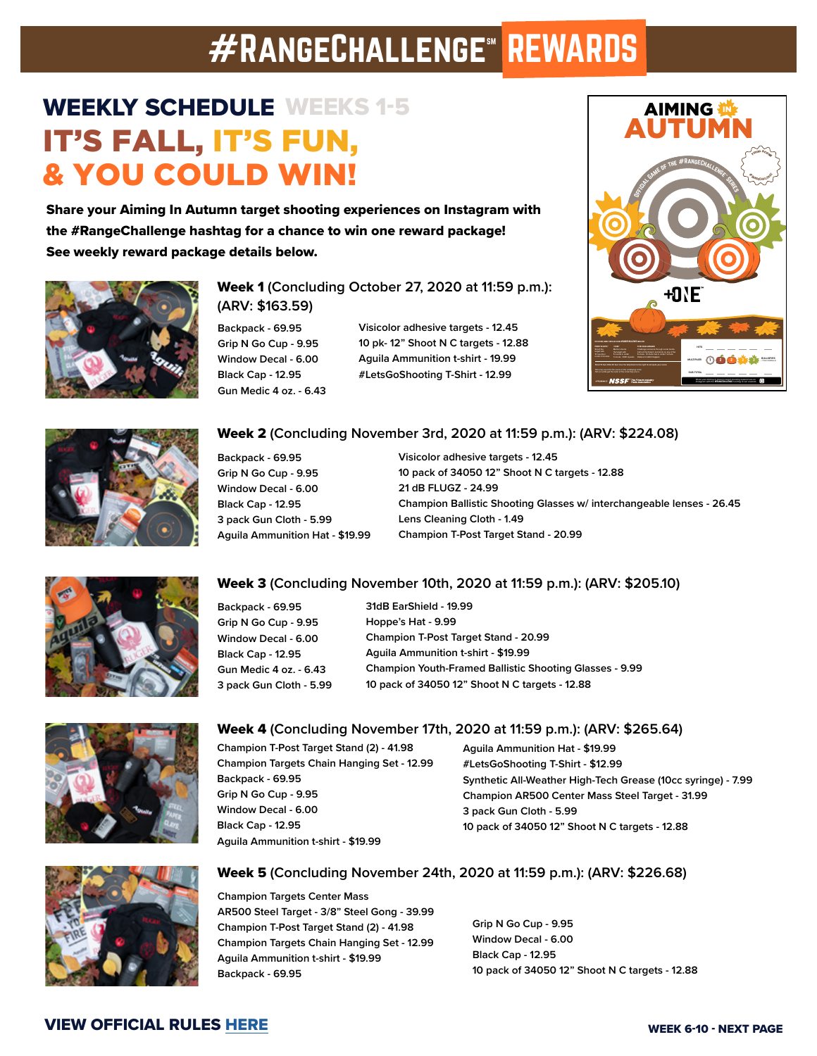# **#RANGECHALLENGE<sup>®</sup> REWARDS**

## WEEKLY SCHEDULE WEEKS 1-5 IT'S FALL, IT'S FUN, & YOU COULD WIN!

Share your Aiming In Autumn target shooting experiences on Instagram with the #RangeChallenge hashtag for a chance to win one reward package! See weekly reward package details below.



### Week 1 **(Concluding October 27, 2020 at 11:59 p.m.): (ARV: \$163.59)**

**Backpack - 69.95 Grip N Go Cup - 9.95 Window Decal - 6.00 Black Cap - 12.95 Gun Medic 4 oz. - 6.43**

**Visicolor adhesive targets - 12.45 10 pk- 12" Shoot N C targets - 12.88 Aguila Ammunition t-shirt - 19.99 #LetsGoShooting T-Shirt - 12.99**





#### Week 2 **(Concluding November 3rd, 2020 at 11:59 p.m.): (ARV: \$224.08)**

**Backpack - 69.95 Grip N Go Cup - 9.95 Window Decal - 6.00 Black Cap - 12.95 3 pack Gun Cloth - 5.99 Aguila Ammunition Hat - \$19.99** 

**Visicolor adhesive targets - 12.45 10 pack of 34050 12" Shoot N C targets - 12.88 21 dB FLUGZ - 24.99 Champion Ballistic Shooting Glasses w/ interchangeable lenses - 26.45 Lens Cleaning Cloth - 1.49 Champion T-Post Target Stand - 20.99** 



#### Week 3 **(Concluding November 10th, 2020 at 11:59 p.m.): (ARV: \$205.10)**

| Backpack - 69.95         | 31dB EarShield - 19.99                                         |
|--------------------------|----------------------------------------------------------------|
| Grip N Go Cup - 9.95     | Hoppe's Hat - 9.99                                             |
| Window Decal - 6.00      | Champion T-Post Target Stand - 20.99                           |
| <b>Black Cap - 12.95</b> | Aquila Ammunition t-shirt - \$19.99                            |
| Gun Medic 4 oz. - 6.43   | <b>Champion Youth-Framed Ballistic Shooting Glasses - 9.99</b> |
| 3 pack Gun Cloth - 5.99  | 10 pack of 34050 12" Shoot N C targets - 12.88                 |
|                          |                                                                |



#### Week 4 **(Concluding November 17th, 2020 at 11:59 p.m.): (ARV: \$265.64)**

**Champion T-Post Target Stand (2) - 41.98 Champion Targets Chain Hanging Set - 12.99 Backpack - 69.95 Grip N Go Cup - 9.95 Window Decal - 6.00 Black Cap - 12.95 Aguila Ammunition t-shirt - \$19.99**

**Aguila Ammunition Hat - \$19.99 #LetsGoShooting T-Shirt - \$12.99 Synthetic All-Weather High-Tech Grease (10cc syringe) - 7.99 Champion AR500 Center Mass Steel Target - 31.99 3 pack Gun Cloth - 5.99 10 pack of 34050 12" Shoot N C targets - 12.88**



#### Week 5 **(Concluding November 24th, 2020 at 11:59 p.m.): (ARV: \$226.68)**

**Champion Targets Center Mass AR500 Steel Target - 3/8" Steel Gong - 39.99 Champion T-Post Target Stand (2) - 41.98 Champion Targets Chain Hanging Set - 12.99 Aguila Ammunition t-shirt - \$19.99 Backpack - 69.95**

**Grip N Go Cup - 9.95 Window Decal - 6.00 Black Cap - 12.95 10 pack of 34050 12" Shoot N C targets - 12.88** 

### VIEW OFFICIAL RULES [HERE](http://www.letsgoshooting.org/wp-content/uploads/2020/10/RangeChallenge-Aiming-in-Autumn-Rules.pdf)